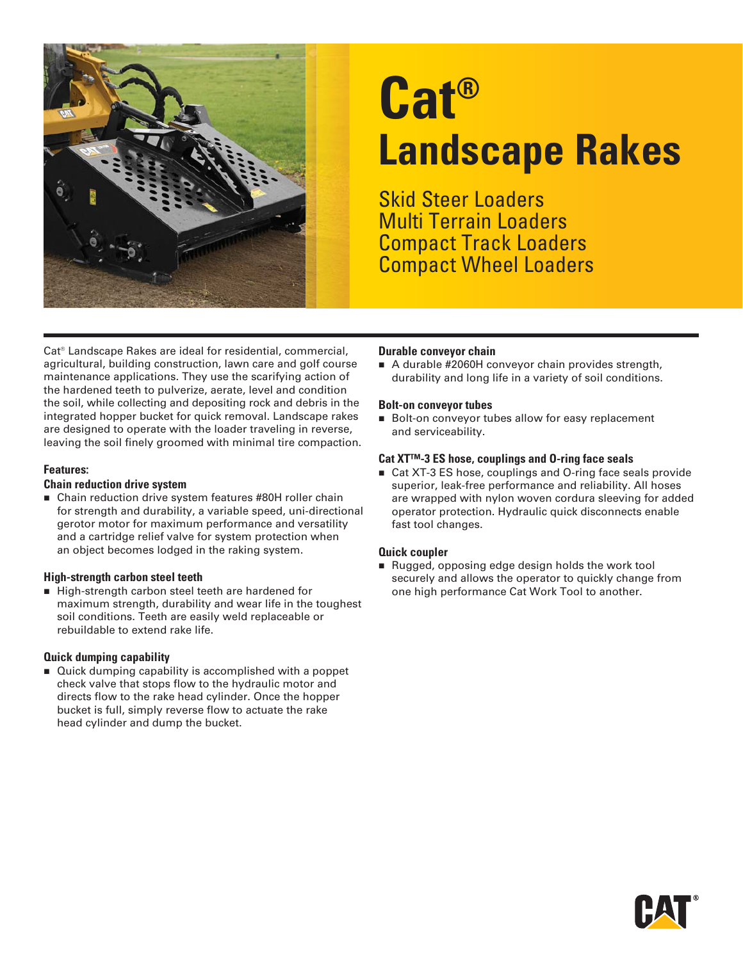

# **Cat® Landscape Rakes**

Skid Steer Loaders Multi Terrain Loaders Compact Track Loaders Compact Wheel Loaders

Cat® Landscape Rakes are ideal for residential, commercial, agricultural, building construction, lawn care and golf course maintenance applications. They use the scarifying action of the hardened teeth to pulverize, aerate, level and condition the soil, while collecting and depositing rock and debris in the integrated hopper bucket for quick removal. Landscape rakes are designed to operate with the loader traveling in reverse, leaving the soil finely groomed with minimal tire compaction.

#### **Features:**

#### **Chain reduction drive system**

■ Chain reduction drive system features #80H roller chain for strength and durability, a variable speed, uni-directional gerotor motor for maximum performance and versatility and a cartridge relief valve for system protection when an object becomes lodged in the raking system.

#### **High-strength carbon steel teeth**

High-strength carbon steel teeth are hardened for maximum strength, durability and wear life in the toughest soil conditions. Teeth are easily weld replaceable or rebuildable to extend rake life.

#### **Quick dumping capability**

■ Quick dumping capability is accomplished with a poppet check valve that stops flow to the hydraulic motor and directs flow to the rake head cylinder. Once the hopper bucket is full, simply reverse flow to actuate the rake head cylinder and dump the bucket.

#### **Durable conveyor chain**

A durable #2060H conveyor chain provides strength, durability and long life in a variety of soil conditions.

#### **Bolt-on conveyor tubes**

Bolt-on conveyor tubes allow for easy replacement and serviceability.

#### **Cat XT™-3 ES hose, couplings and O-ring face seals**

■ Cat XT-3 ES hose, couplings and O-ring face seals provide superior, leak-free performance and reliability. All hoses are wrapped with nylon woven cordura sleeving for added operator protection. Hydraulic quick disconnects enable fast tool changes.

#### **Quick coupler**

Rugged, opposing edge design holds the work tool securely and allows the operator to quickly change from one high performance Cat Work Tool to another.

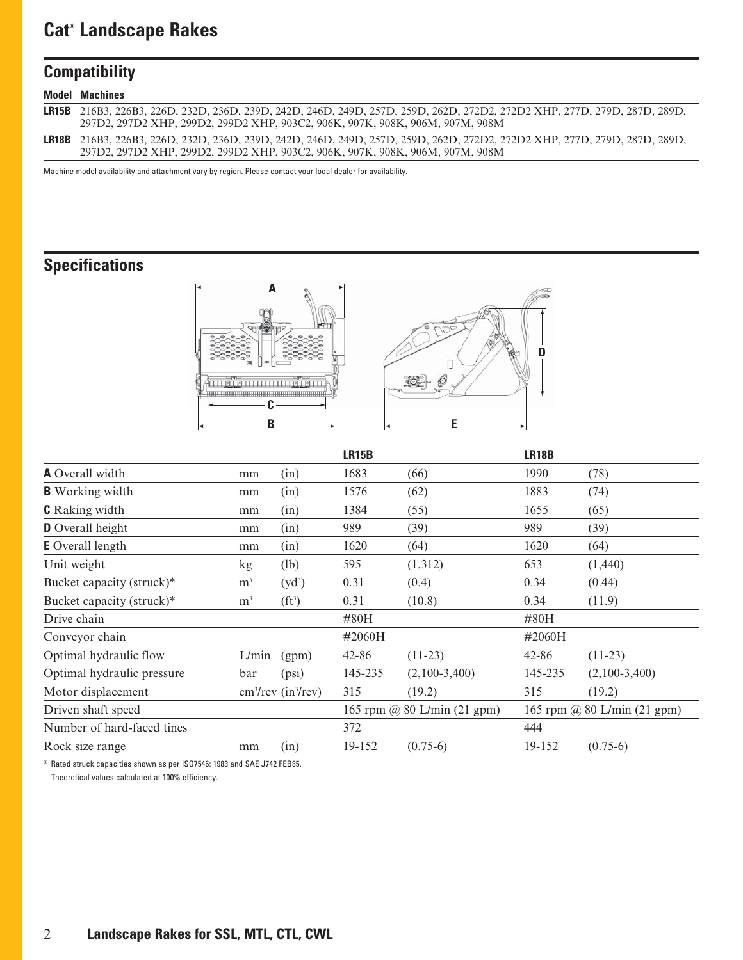## **Cat® Landscape Rakes**

## **Compatibility**

| <b>Model Machines</b>                                                                                                     |
|---------------------------------------------------------------------------------------------------------------------------|
| LR15B 216B3, 226B3, 226D, 232D, 236D, 239D, 242D, 246D, 249D, 257D, 259D, 262D, 272D2, 272D2 XHP, 277D, 279D, 287D, 289D, |
| 297D2, 297D2 XHP, 299D2, 299D2 XHP, 903C2, 906K, 907K, 908K, 906M, 907M, 908M                                             |
| LR18B 216B3, 226B3, 226D, 232D, 236D, 239D, 242D, 246D, 249D, 257D, 259D, 262D, 272D2, 272D2 XHP, 277D, 279D, 287D, 289D, |
| 297D2, 297D2 XHP, 299D2, 299D2 XHP, 903C2, 906K, 907K, 908K, 906M, 907M, 908M                                             |

Machine model availability and attachment vary by region. Please contact your local dealer for availability.

## **Specifications**





|                            |                |                                  | <b>LR15B</b> |                             | <b>LR18B</b> |                 |
|----------------------------|----------------|----------------------------------|--------------|-----------------------------|--------------|-----------------|
| <b>A</b> Overall width     | mm             | (in)                             | 1683         | (66)                        | 1990         | (78)            |
| <b>B</b> Working width     | mm             | (in)                             | 1576         | (62)                        | 1883         | (74)            |
| <b>C</b> Raking width      | mm             | (in)                             | 1384         | (55)                        | 1655         | (65)            |
| D Overall height           | mm             | (in)                             | 989          | (39)                        | 989          | (39)            |
| <b>E</b> Overall length    | mm             | (in)                             | 1620         | (64)                        | 1620         | (64)            |
| Unit weight                | kg             | (lb)                             | 595          | (1,312)                     | 653          | (1,440)         |
| Bucket capacity (struck)*  | m <sup>3</sup> | $(yd^3)$                         | 0.31         | (0.4)                       | 0.34         | (0.44)          |
| Bucket capacity (struck)*  | m <sup>3</sup> | $(ft^3)$                         | 0.31         | (10.8)                      | 0.34         | (11.9)          |
| Drive chain                |                |                                  | #80H         |                             | $\#80H$      |                 |
| Conveyor chain             |                |                                  | $\#2060H$    |                             | $\#2060H$    |                 |
| Optimal hydraulic flow     | L/min          | (gpm)                            | 42-86        | $(11-23)$                   | 42-86        | $(11-23)$       |
| Optimal hydraulic pressure | bar            | (psi)                            | 145-235      | $(2,100-3,400)$             | 145-235      | $(2,100-3,400)$ |
| Motor displacement         |                | $cm3/rev$ (in <sup>3</sup> /rev) | 315          | (19.2)                      | 315          | (19.2)          |
| Driven shaft speed         |                | 165 rpm @ $80$ L/min (21 gpm)    |              | 165 rpm @ 80 L/min (21 gpm) |              |                 |
| Number of hard-faced tines |                |                                  | 372          |                             | 444          |                 |
| Rock size range            | mm             | (in)                             | 19-152       | $(0.75-6)$                  | 19-152       | $(0.75-6)$      |

\* Rated struck capacities shown as per ISO7546: 1983 and SAE J742 FEB85. Theoretical values calculated at 100% efficiency.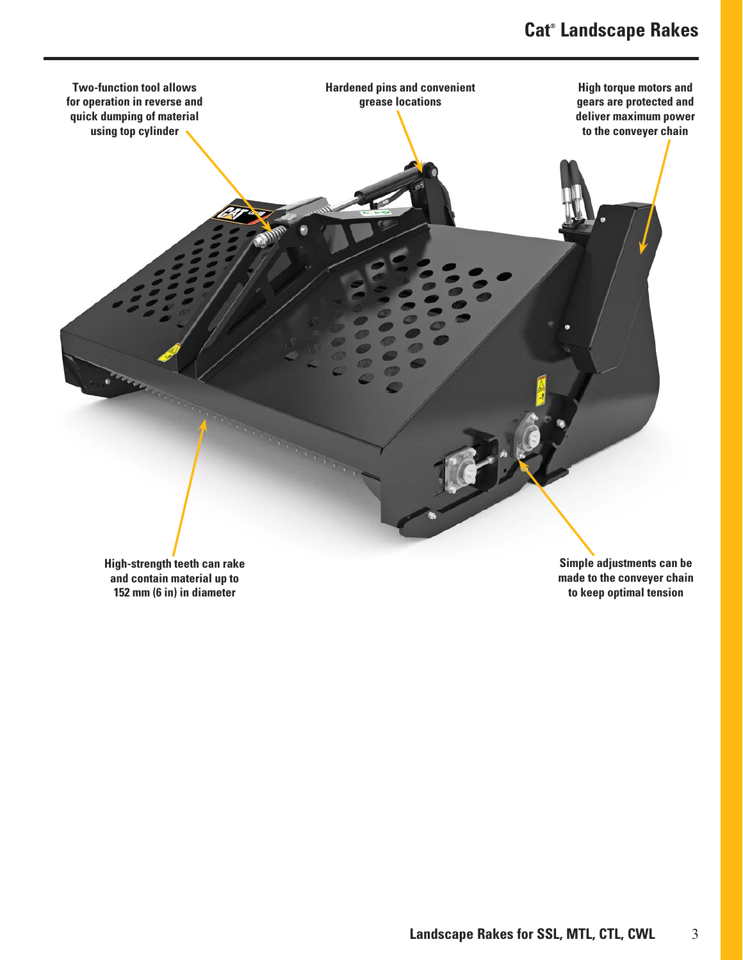

**High-strength teeth can rake and contain material up to 152 mm (6 in) in diameter**

**Simple adjustments can be made to the conveyer chain to keep optimal tension**